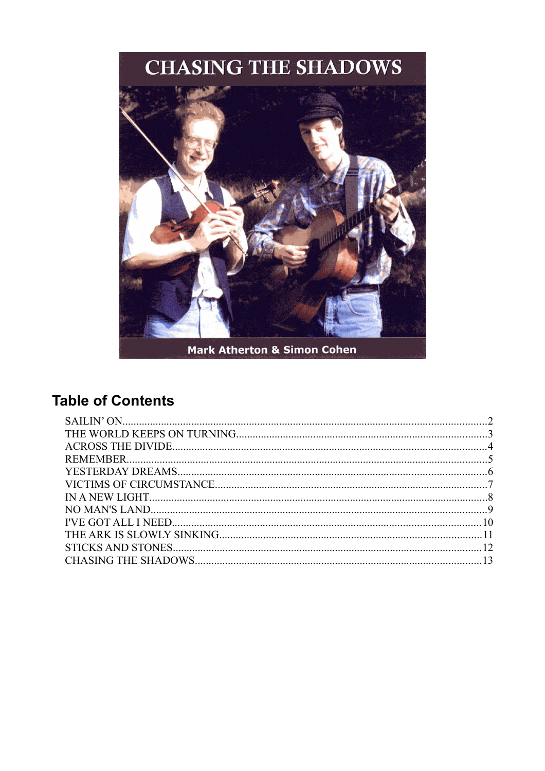

Mark Atherton & Simon Cohen

# **Table of Contents**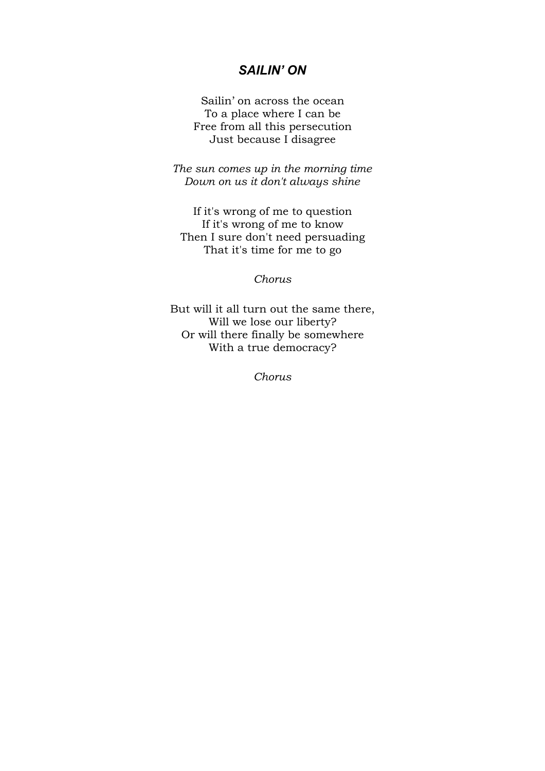### <span id="page-1-0"></span>*SAILIN' ON*

Sailin' on across the ocean To a place where I can be Free from all this persecution Just because I disagree

*The sun comes up in the morning time Down on us it don't always shine*

If it's wrong of me to question If it's wrong of me to know Then I sure don't need persuading That it's time for me to go

*Chorus*

But will it all turn out the same there, Will we lose our liberty? Or will there finally be somewhere With a true democracy?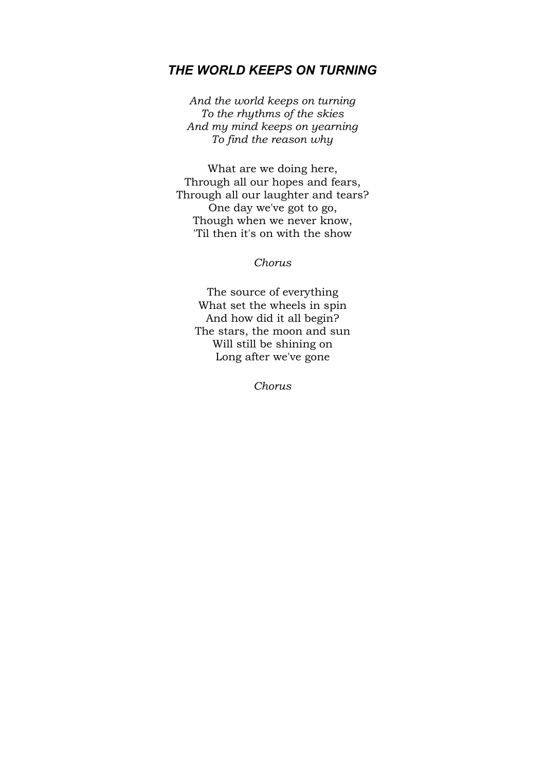## <span id="page-2-0"></span>*THE WORLD KEEPS ON TURNING*

*And the world keeps on turning To the rhythms of the skies And my mind keeps on yearning To find the reason why*

What are we doing here, Through all our hopes and fears, Through all our laughter and tears? One day we've got to go, Though when we never know, 'Til then it's on with the show

*Chorus*

The source of everything What set the wheels in spin And how did it all begin? The stars, the moon and sun Will still be shining on Long after we've gone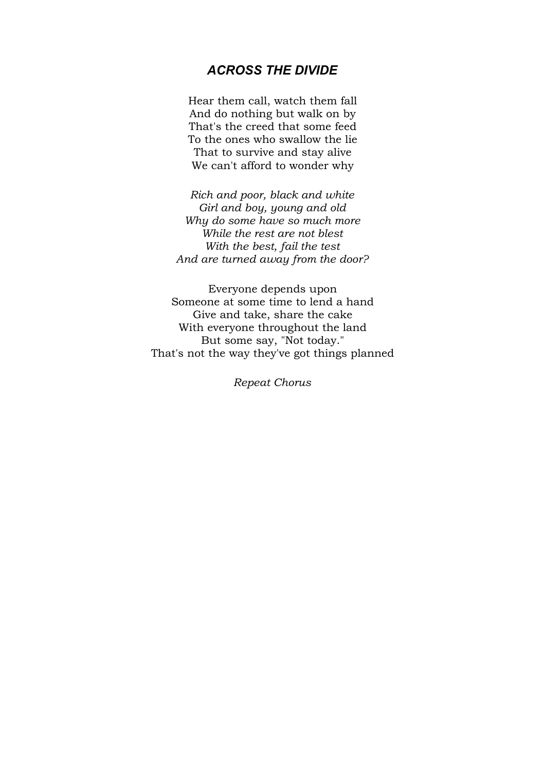## <span id="page-3-0"></span>*ACROSS THE DIVIDE*

Hear them call, watch them fall And do nothing but walk on by That's the creed that some feed To the ones who swallow the lie That to survive and stay alive We can't afford to wonder why

*Rich and poor, black and white Girl and boy, young and old Why do some have so much more While the rest are not blest With the best, fail the test And are turned away from the door?*

Everyone depends upon Someone at some time to lend a hand Give and take, share the cake With everyone throughout the land But some say, "Not today." That's not the way they've got things planned

*Repeat Chorus*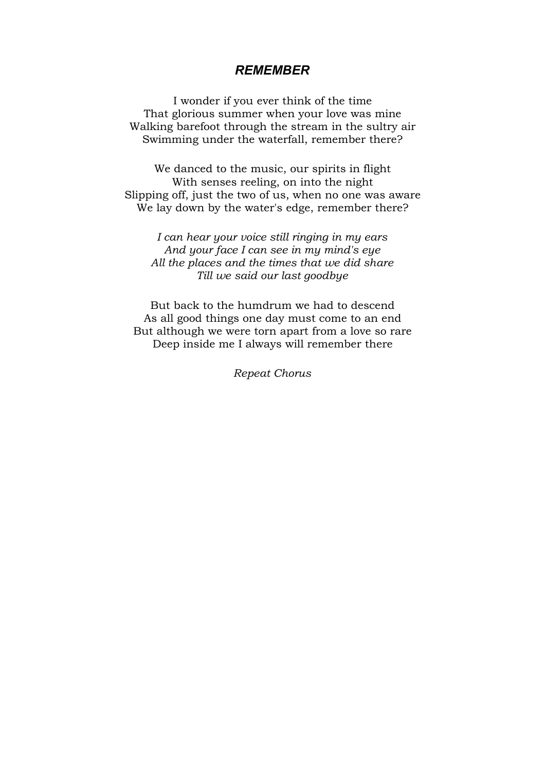#### <span id="page-4-0"></span>*REMEMBER*

I wonder if you ever think of the time That glorious summer when your love was mine Walking barefoot through the stream in the sultry air Swimming under the waterfall, remember there?

We danced to the music, our spirits in flight With senses reeling, on into the night Slipping off, just the two of us, when no one was aware We lay down by the water's edge, remember there?

*I can hear your voice still ringing in my ears And your face I can see in my mind's eye All the places and the times that we did share Till we said our last goodbye*

But back to the humdrum we had to descend As all good things one day must come to an end But although we were torn apart from a love so rare Deep inside me I always will remember there

*Repeat Chorus*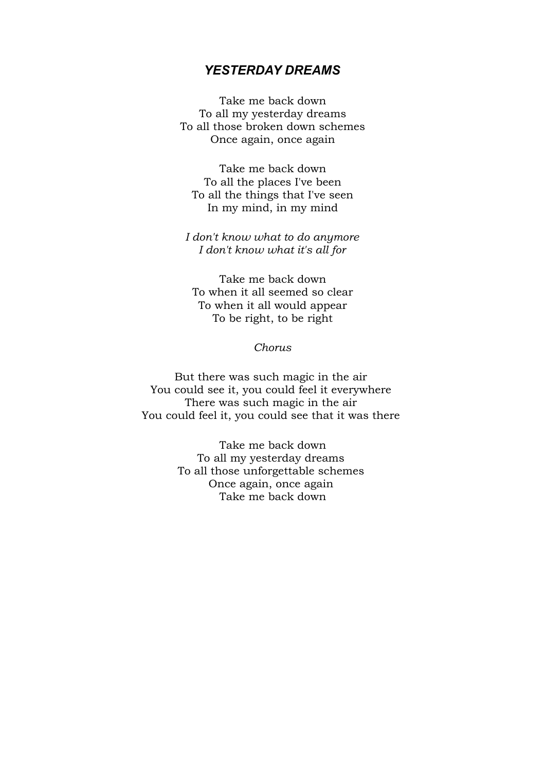#### <span id="page-5-0"></span>*YESTERDAY DREAMS*

Take me back down To all my yesterday dreams To all those broken down schemes Once again, once again

Take me back down To all the places I've been To all the things that I've seen In my mind, in my mind

*I don't know what to do anymore I don't know what it's all for*

Take me back down To when it all seemed so clear To when it all would appear To be right, to be right

*Chorus*

But there was such magic in the air You could see it, you could feel it everywhere There was such magic in the air You could feel it, you could see that it was there

> Take me back down To all my yesterday dreams To all those unforgettable schemes Once again, once again Take me back down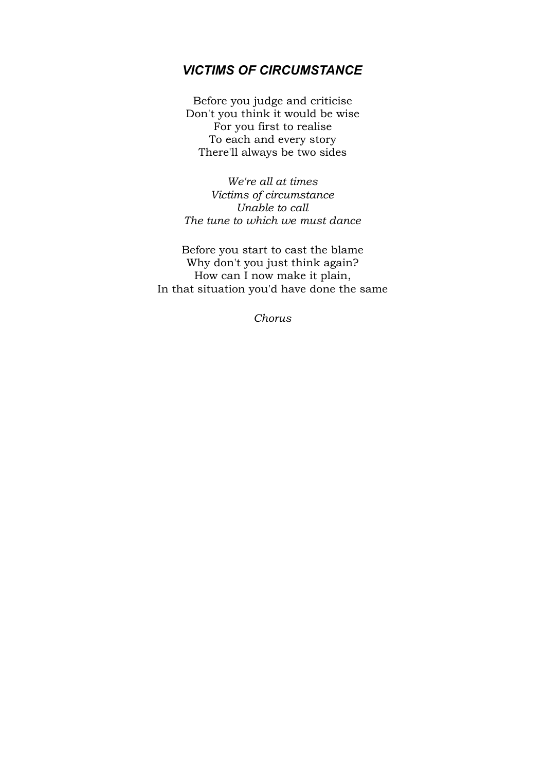# <span id="page-6-0"></span>*VICTIMS OF CIRCUMSTANCE*

Before you judge and criticise Don't you think it would be wise For you first to realise To each and every story There'll always be two sides

*We're all at times Victims of circumstance Unable to call The tune to which we must dance*

Before you start to cast the blame Why don't you just think again? How can I now make it plain, In that situation you'd have done the same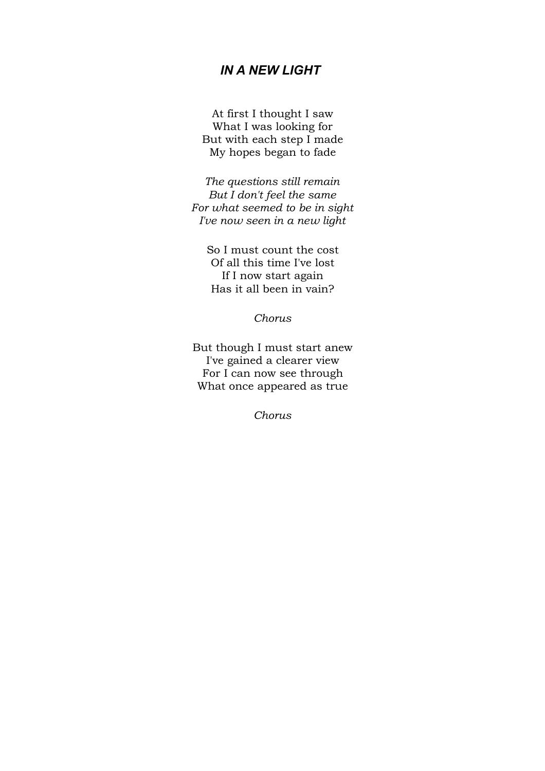# <span id="page-7-0"></span>*IN A NEW LIGHT*

At first I thought I saw What I was looking for But with each step I made My hopes began to fade

*The questions still remain But I don't feel the same For what seemed to be in sight I've now seen in a new light*

So I must count the cost Of all this time I've lost If I now start again Has it all been in vain?

*Chorus*

But though I must start anew I've gained a clearer view For I can now see through What once appeared as true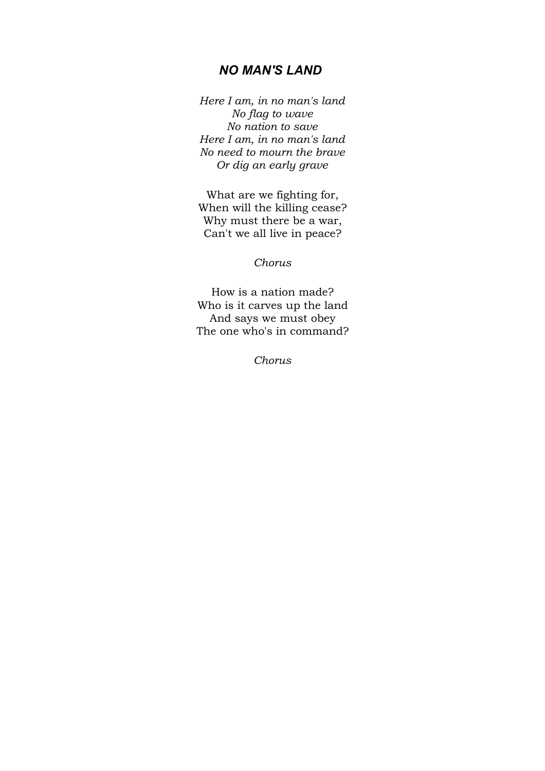#### <span id="page-8-0"></span>*NO MAN'S LAND*

*Here I am, in no man's land No flag to wave No nation to save Here I am, in no man's land No need to mourn the brave Or dig an early grave*

What are we fighting for, When will the killing cease? Why must there be a war, Can't we all live in peace?

*Chorus*

How is a nation made? Who is it carves up the land And says we must obey The one who's in command?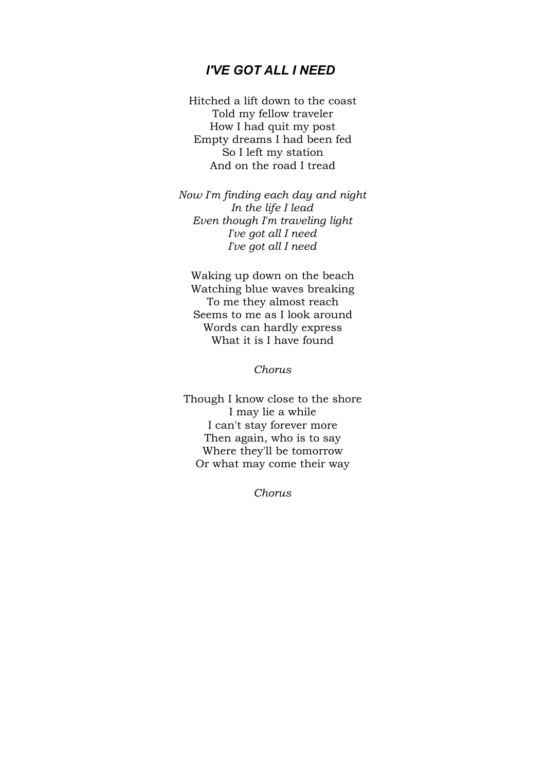## <span id="page-9-0"></span>*I'VE GOT ALL I NEED*

Hitched a lift down to the coast Told my fellow traveler How I had quit my post Empty dreams I had been fed So I left my station And on the road I tread

*Now I'm finding each day and night In the life I lead Even though I'm traveling light I've got all I need I've got all I need*

Waking up down on the beach Watching blue waves breaking To me they almost reach Seems to me as I look around Words can hardly express What it is I have found

*Chorus*

Though I know close to the shore I may lie a while I can't stay forever more Then again, who is to say Where they'll be tomorrow Or what may come their way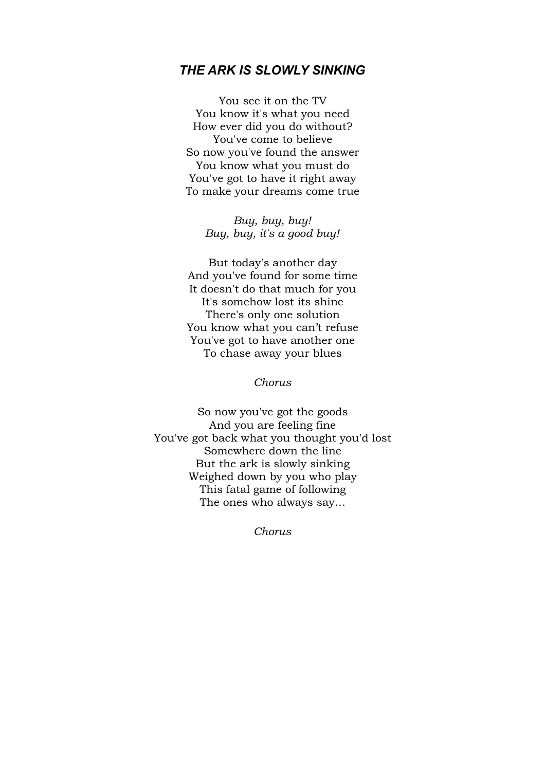## <span id="page-10-0"></span>*THE ARK IS SLOWLY SINKING*

You see it on the TV You know it's what you need How ever did you do without? You've come to believe So now you've found the answer You know what you must do You've got to have it right away To make your dreams come true

> *Buy, buy, buy! Buy, buy, it's a good buy!*

But today's another day And you've found for some time It doesn't do that much for you It's somehow lost its shine There's only one solution You know what you can't refuse You've got to have another one To chase away your blues

*Chorus*

So now you've got the goods And you are feeling fine You've got back what you thought you'd lost Somewhere down the line But the ark is slowly sinking Weighed down by you who play This fatal game of following The ones who always say…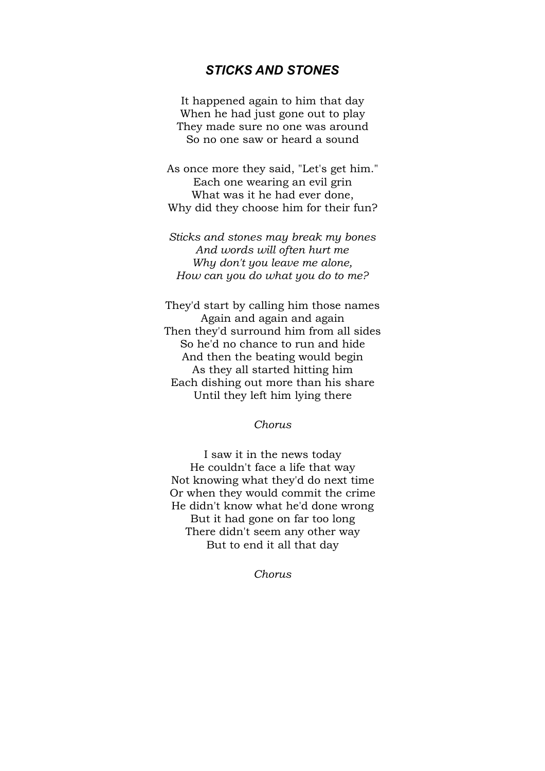# <span id="page-11-0"></span>*STICKS AND STONES*

It happened again to him that day When he had just gone out to play They made sure no one was around So no one saw or heard a sound

As once more they said, "Let's get him." Each one wearing an evil grin What was it he had ever done, Why did they choose him for their fun?

*Sticks and stones may break my bones And words will often hurt me Why don't you leave me alone, How can you do what you do to me?*

They'd start by calling him those names Again and again and again Then they'd surround him from all sides So he'd no chance to run and hide And then the beating would begin As they all started hitting him Each dishing out more than his share Until they left him lying there

*Chorus*

I saw it in the news today He couldn't face a life that way Not knowing what they'd do next time Or when they would commit the crime He didn't know what he'd done wrong But it had gone on far too long There didn't seem any other way But to end it all that day